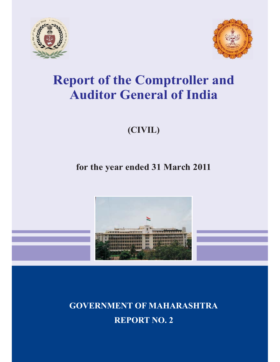



## **Report of the Comptroller and Auditor General of India**

## **(CIVIL)**

## **for the year ended 31 March 2011**



**GOVERNMENT OF MAHARASHTRA REPORT NO. 2**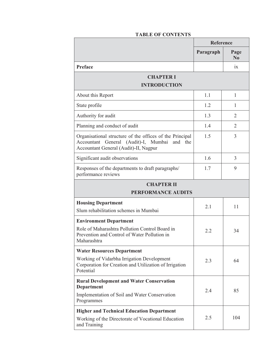|                                                                                                                                                        | <b>Reference</b> |                        |
|--------------------------------------------------------------------------------------------------------------------------------------------------------|------------------|------------------------|
|                                                                                                                                                        | Paragraph        | Page<br>N <sub>0</sub> |
| Preface                                                                                                                                                |                  | $\overline{1}x$        |
| <b>CHAPTER I</b><br><b>INTRODUCTION</b>                                                                                                                |                  |                        |
| About this Report                                                                                                                                      | 1.1              | 1                      |
| State profile                                                                                                                                          | 1.2              | 1                      |
| Authority for audit                                                                                                                                    | 1.3              | 2                      |
| Planning and conduct of audit                                                                                                                          | 1.4              | 2                      |
| Organisational structure of the offices of the Principal<br>Accountant General (Audit)-I, Mumbai and the<br>Accountant General (Audit)-II, Nagpur      | 1.5              | 3                      |
| Significant audit observations                                                                                                                         | 1.6              | 3                      |
| Responses of the departments to draft paragraphs/<br>performance reviews                                                                               | 1.7              | 9                      |
| <b>CHAPTER II</b><br><b>PERFORMANCE AUDITS</b>                                                                                                         |                  |                        |
| <b>Housing Department</b><br>Slum rehabilitation schemes in Mumbai                                                                                     | 2.1              | 11                     |
| <b>Environment Department</b><br>Role of Maharashtra Pollution Control Board in<br>Prevention and Control of Water Pollution in<br>Maharashtra         | 2.2              | 34                     |
| <b>Water Resources Department</b><br>Working of Vidarbha Irrigation Development<br>Corporation for Creation and Utilization of Irrigation<br>Potential | 2.3              | 64                     |
| <b>Rural Development and Water Conservation</b><br><b>Department</b><br>Implementation of Soil and Water Conservation<br>Programmes                    | 2.4              | 85                     |
| <b>Higher and Technical Education Department</b><br>Working of the Directorate of Vocational Education<br>and Training                                 | 2.5              | 104                    |

## **TABLE OF CONTENTS**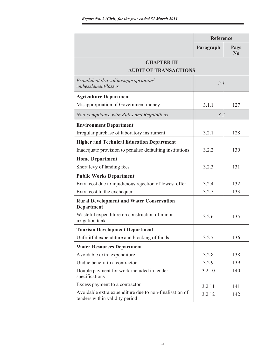|                                                                                          | <b>Reference</b> |                        |
|------------------------------------------------------------------------------------------|------------------|------------------------|
|                                                                                          | Paragraph        | Page<br>N <sub>0</sub> |
| <b>CHAPTER III</b>                                                                       |                  |                        |
| <b>AUDIT OF TRANSACTIONS</b>                                                             |                  |                        |
| Fraudulent drawal/misappropriation/<br>embezzlement/losses                               | 3.1              |                        |
| <b>Agriculture Department</b>                                                            |                  |                        |
| Misappropriation of Government money                                                     | 3.1.1            | 127                    |
| Non-compliance with Rules and Regulations                                                | 3.2              |                        |
| <b>Environment Department</b>                                                            |                  |                        |
| Irregular purchase of laboratory instrument                                              | 3.2.1            | 128                    |
| <b>Higher and Technical Education Department</b>                                         |                  |                        |
| Inadequate provision to penalise defaulting institutions                                 | 3.2.2            | 130                    |
| <b>Home Department</b>                                                                   |                  |                        |
| Short levy of landing fees                                                               | 3.2.3            | 131                    |
| <b>Public Works Department</b>                                                           |                  |                        |
| Extra cost due to injudicious rejection of lowest offer                                  | 3.2.4            | 132                    |
| Extra cost to the exchequer                                                              | 3.2.5            | 133                    |
| <b>Rural Development and Water Conservation</b><br>Department                            |                  |                        |
| Wasteful expenditure on construction of minor<br>irrigation tank                         | 3.2.6            | 135                    |
| <b>Tourism Development Department</b>                                                    |                  |                        |
| Unfruitful expenditure and blocking of funds                                             | 3.2.7            | 136                    |
| <b>Water Resources Department</b>                                                        |                  |                        |
| Avoidable extra expenditure                                                              | 3.2.8            | 138                    |
| Undue benefit to a contractor                                                            | 3.2.9            | 139                    |
| Double payment for work included in tender<br>specifications                             | 3.2.10           | 140                    |
| Excess payment to a contractor                                                           | 3.2.11           | 141                    |
| Avoidable extra expenditure due to non-finalisation of<br>tenders within validity period | 3.2.12           | 142                    |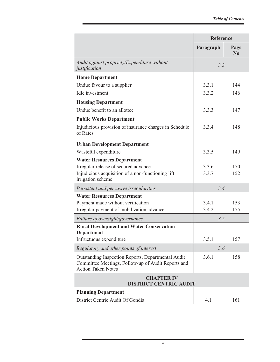|                                                                                                                                       | <b>Reference</b> |                  |
|---------------------------------------------------------------------------------------------------------------------------------------|------------------|------------------|
|                                                                                                                                       | Paragraph        | Page<br>$\bf No$ |
| Audit against propriety/Expenditure without<br>justification                                                                          | 3.3              |                  |
| <b>Home Department</b>                                                                                                                |                  |                  |
| Undue favour to a supplier                                                                                                            | 3.3.1            | 144              |
| Idle investment                                                                                                                       | 3.3.2            | 146              |
| <b>Housing Department</b>                                                                                                             |                  |                  |
| Undue benefit to an allottee                                                                                                          | 3.3.3            | 147              |
| <b>Public Works Department</b>                                                                                                        |                  |                  |
| Injudicious provision of insurance charges in Schedule<br>of Rates                                                                    | 3.3.4            | 148              |
| <b>Urban Development Department</b>                                                                                                   |                  |                  |
| Wasteful expenditure                                                                                                                  | 3.3.5            | 149              |
| <b>Water Resources Department</b>                                                                                                     |                  |                  |
| Irregular release of secured advance                                                                                                  | 3.3.6            | 150              |
| Injudicious acquisition of a non-functioning lift<br>irrigation scheme                                                                | 3.3.7            | 152              |
| Persistent and pervasive irregularities                                                                                               | 3.4              |                  |
| <b>Water Resources Department</b>                                                                                                     |                  |                  |
| Payment made without verification                                                                                                     | 3.4.1            | 153              |
| Irregular payment of mobilization advance                                                                                             | 3.4.2            | 155              |
| Failure of oversight/governance                                                                                                       | 3.5              |                  |
| <b>Rural Development and Water Conservation</b><br><b>Department</b>                                                                  |                  |                  |
| Infructuous expenditure                                                                                                               | 3.5.1            | 157              |
| Regulatory and other points of interest                                                                                               | 3.6              |                  |
| Outstanding Inspection Reports, Departmental Audit<br>Committee Meetings, Follow-up of Audit Reports and<br><b>Action Taken Notes</b> | 3.6.1            | 158              |
| <b>CHAPTER IV</b><br><b>DISTRICT CENTRIC AUDIT</b>                                                                                    |                  |                  |
| <b>Planning Department</b>                                                                                                            |                  |                  |
| District Centric Audit Of Gondia                                                                                                      | 4.1              | 161              |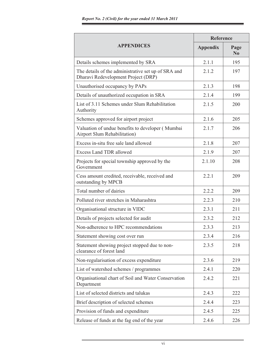|                                                                                            | Reference       |                        |
|--------------------------------------------------------------------------------------------|-----------------|------------------------|
| <b>APPENDICES</b>                                                                          | <b>Appendix</b> | Page<br>N <sub>0</sub> |
| Details schemes implemented by SRA                                                         | 2.1.1           | 195                    |
| The details of the administrative set up of SRA and<br>Dharavi Redevelopment Project (DRP) | 2.1.2           | 197                    |
| Unauthorised occupancy by PAPs                                                             | 2.1.3           | 198                    |
| Details of unauthorized occupation in SRA                                                  | 2.1.4           | 199                    |
| List of 3.11 Schemes under Slum Rehabilitation<br>Authority                                | 2.1.5           | 200                    |
| Schemes approved for airport project                                                       | 2.1.6           | 205                    |
| Valuation of undue benefits to developer (Mumbai<br>Airport Slum Rehabilitation)           | 2.1.7           | 206                    |
| Excess in-situ free sale land allowed                                                      | 2.1.8           | 207                    |
| <b>Excess Land TDR allowed</b>                                                             | 2.1.9           | 207                    |
| Projects for special township approved by the<br>Government                                | 2.1.10          | 208                    |
| Cess amount credited, receivable, received and<br>outstanding by MPCB                      | 2.2.1           | 209                    |
| Total number of dairies                                                                    | 2.2.2           | 209                    |
| Polluted river stretches in Maharashtra                                                    | 2.2.3           | 210                    |
| Organisational structure in VIDC                                                           | 2.3.1           | 211                    |
| Details of projects selected for audit                                                     | 2.3.2           | 212                    |
| Non-adherence to HPC recommendations                                                       | 2.3.3           | 213                    |
| Statement showing cost over run                                                            | 2.3.4           | 216                    |
| Statement showing project stopped due to non-<br>clearance of forest land                  | 2.3.5           | 218                    |
| Non-regularisation of excess expenditure                                                   | 2.3.6           | 219                    |
| List of watershed schemes / programmes                                                     | 2.4.1           | 220                    |
| Organisational chart of Soil and Water Conservation<br>Department                          | 2.4.2           | 221                    |
| List of selected districts and talukas                                                     | 2.4.3           | 222                    |
| Brief description of selected schemes                                                      | 2.4.4           | 223                    |
| Provision of funds and expenditure                                                         | 2.4.5           | 225                    |
| Release of funds at the fag end of the year                                                | 2.4.6           | 226                    |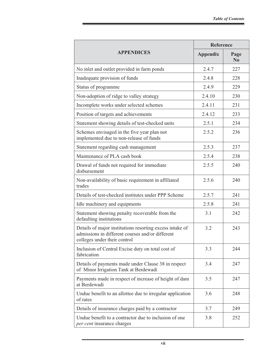|                                                                                                                                              |                 | <b>Reference</b>  |  |
|----------------------------------------------------------------------------------------------------------------------------------------------|-----------------|-------------------|--|
| <b>APPENDICES</b>                                                                                                                            | <b>Appendix</b> | Page<br>$\bf N_0$ |  |
| No inlet and outlet provided in farm ponds                                                                                                   | 2.4.7           | 227               |  |
| Inadequate provision of funds                                                                                                                | 2.4.8           | 228               |  |
| Status of programme                                                                                                                          | 2.4.9           | 229               |  |
| Non-adoption of ridge to valley strategy                                                                                                     | 2.4.10          | 230               |  |
| Incomplete works under selected schemes                                                                                                      | 2.4.11          | 231               |  |
| Position of targets and achievements                                                                                                         | 2.4.12          | 233               |  |
| Statement showing details of test-checked units                                                                                              | 2.5.1           | 234               |  |
| Schemes envisaged in the five year plan not<br>implemented due to non-release of funds                                                       | 2.5.2           | 236               |  |
| Statement regarding cash management                                                                                                          | 2.5.3           | 237               |  |
| Maintenance of PLA cash book                                                                                                                 | 2.5.4           | 238               |  |
| Drawal of funds not required for immediate<br>disbursement                                                                                   | 2.5.5           | 240               |  |
| Non-availability of basic requirement in affiliated<br>trades                                                                                | 2.5.6           | 240               |  |
| Details of test-checked institutes under PPP Scheme                                                                                          | 2.5.7           | 241               |  |
| Idle machinery and equipments                                                                                                                | 2.5.8           | 241               |  |
| Statement showing penalty recoverable from the<br>defaulting institutions                                                                    | 3.1             | 242               |  |
| Details of major institutions resorting excess intake of<br>admissions in different courses and/or different<br>colleges under their control | 3.2             | 243               |  |
| Inclusion of Central Excise duty on total cost of<br>fabrication                                                                             | 3.3             | 244               |  |
| Details of payments made under Clause 38 in respect<br>of Minor Irrigation Tank at Berdewadi                                                 | 3.4             | 247               |  |
| Payments made in respect of increase of height of dam<br>at Berdewadi                                                                        | 3.5             | 247               |  |
| Undue benefit to an allottee due to irregular application<br>of rates                                                                        | 3.6             | 248               |  |
| Details of insurance charges paid by a contractor                                                                                            | 3.7             | 249               |  |
| Undue benefit to a contractor due to inclusion of one<br>per cent insurance charges                                                          | 3.8             | 252               |  |